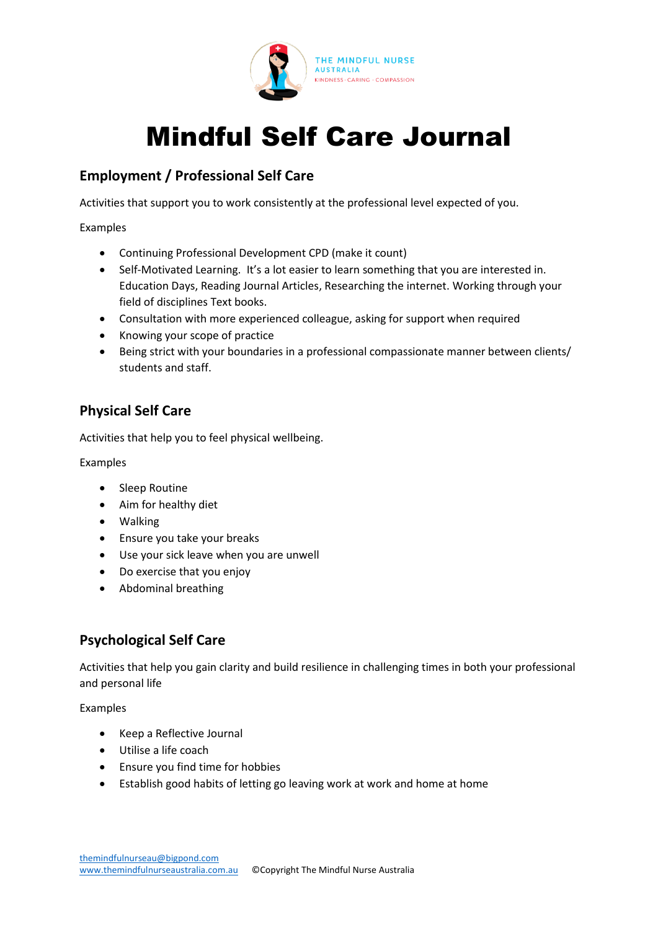

# Mindful Self Care Journal

# **Employment / Professional Self Care**

Activities that support you to work consistently at the professional level expected of you.

Examples

- Continuing Professional Development CPD (make it count)
- Self-Motivated Learning. It's a lot easier to learn something that you are interested in. Education Days, Reading Journal Articles, Researching the internet. Working through your field of disciplines Text books.
- Consultation with more experienced colleague, asking for support when required
- Knowing your scope of practice
- Being strict with your boundaries in a professional compassionate manner between clients/ students and staff.

## **Physical Self Care**

Activities that help you to feel physical wellbeing.

Examples

- Sleep Routine
- Aim for healthy diet
- Walking
- Ensure you take your breaks
- Use your sick leave when you are unwell
- Do exercise that you enjoy
- Abdominal breathing

#### **Psychological Self Care**

Activities that help you gain clarity and build resilience in challenging times in both your professional and personal life

Examples

- Keep a Reflective Journal
- Utilise a life coach
- Ensure you find time for hobbies
- Establish good habits of letting go leaving work at work and home at home